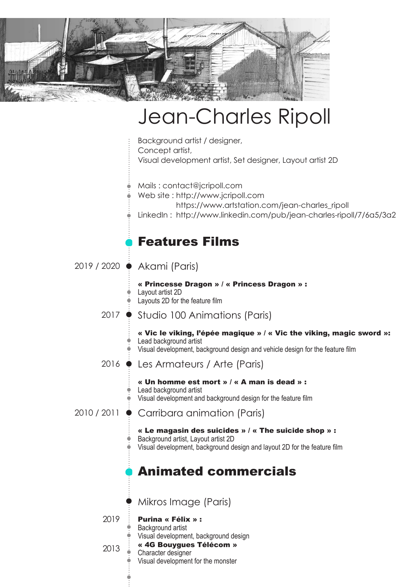

# Jean-Charles Ripoll

Background artist / designer, Concept artist,

Visual development artist, Set designer, Layout artist 2D

- Mails : contact@jcripoll.com
- Web site : http://www.jcripoll.com
- https://www.artstation.com/jean-charles\_ripoll
- LinkedIn : http://www.linkedin.com/pub/jean-charles-ripoll/7/6a5/3a2

# Features Films

2019 / 2020 Akami (Paris)

« Princesse Dragon » / « Princess Dragon » : Layout artist 2D

- Layouts 2D for the feature film
- 2017 Studio 100 Animations (Paris)

#### « Vic le viking, l'épée magique » / « Vic the viking, magic sword »: • Lead background artist

- $\bullet$  Visual development, background design and vehicle design for the feature film
- 2016 Les Armateurs / Arte (Paris)
	- « Un homme est mort » / « A man is dead » :
	- Lead background artist
	- Visual development and background design for the feature film

#### 2010 / 2011 Carribara animation (Paris)

- « Le magasin des suicides » / « The suicide shop » : Background artist, Layout artist 2D
- Visual development, background design and layout 2D for the feature film

# Animated commercials

Mikros Image (Paris)

2019

- Purina « Félix » :
- Background artist
- Visual development, background design « 4G Bouygues Télécom »

2013

Character designer Visual development for the monster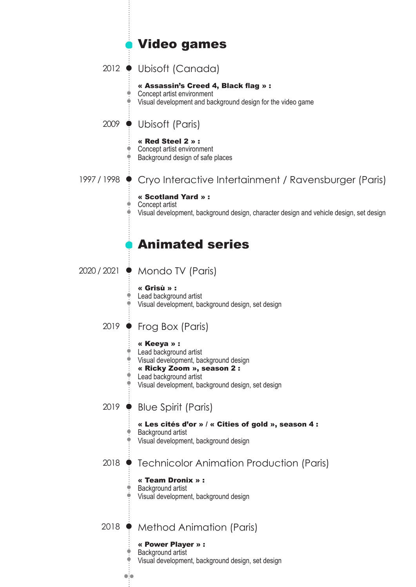# Video games

## 2012 Ubisoft (Canada)

#### « Assassin's Creed 4, Black flag » :

٠ Concept artist environment

Visual development and background design for the video game

2009 Ubisoft (Paris)

#### « Red Steel 2 » :

- Concept artist environment
- **Background design of safe places**

## 1997 / 1998 Cryo Interactive Intertainment / Ravensburger (Paris)

#### « Scotland Yard » :

● Concept artist

Visual development, background design, character design and vehicle design, set design

# Animated series

#### 2020 / 2021 ♦ Mondo TV (Paris)

ò

#### « Grisù » :

Lead background artist Visual development, background design, set design

## 2019 ● Frog Box (Paris)

#### « Keeya » :

- Lead background artist
- Visual development, background design
- « Ricky Zoom », season 2 :
- Lead background artist
- Visual development, background design, set design

### 2019 Blue Spirit (Paris)

## « Les cités d'or » / « Cities of gold », season 4 :

- Background artist
- Visual development, background design

### 2018 • Technicolor Animation Production (Paris)

#### « Team Dronix » :

#### Background artist

 $\bullet$ io

Visual development, background design

## 2018 • Method Animation (Paris)

- « Power Player » : ● Background artist
- Visual development, background design, set design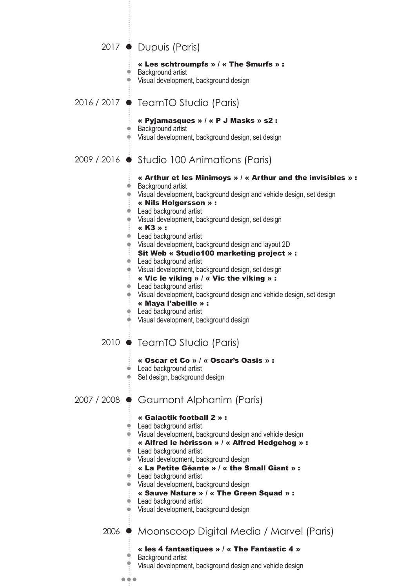|             | 2017 • Dupuis (Paris)                                                                                                                                                                                                                                                                                                                                                                                                                                                                                                                                                                                                                                                                                                               |
|-------------|-------------------------------------------------------------------------------------------------------------------------------------------------------------------------------------------------------------------------------------------------------------------------------------------------------------------------------------------------------------------------------------------------------------------------------------------------------------------------------------------------------------------------------------------------------------------------------------------------------------------------------------------------------------------------------------------------------------------------------------|
|             | « Les schtroumpfs » / « The Smurfs » :<br>Background artist<br>Visual development, background design                                                                                                                                                                                                                                                                                                                                                                                                                                                                                                                                                                                                                                |
|             | 2016 / 2017 ● TeamTO Studio (Paris)                                                                                                                                                                                                                                                                                                                                                                                                                                                                                                                                                                                                                                                                                                 |
|             | « Pyjamasques » / « P J Masks » s2 :<br>Background artist<br>Visual development, background design, set design                                                                                                                                                                                                                                                                                                                                                                                                                                                                                                                                                                                                                      |
|             | 2009 / 2016 $\bullet$ Studio 100 Animations (Paris)                                                                                                                                                                                                                                                                                                                                                                                                                                                                                                                                                                                                                                                                                 |
|             | « Arthur et les Minimoys » / « Arthur and the invisibles » :<br>Background artist<br>Visual development, background design and vehicle design, set design<br>« Nils Holgersson » :<br>Lead background artist<br>Visual development, background design, set design<br>« K3 » :<br>Lead background artist<br>Visual development, background design and layout 2D<br>Sit Web « Studio100 marketing project » :<br>Lead background artist<br>Visual development, background design, set design<br>« Vic le viking » / « Vic the viking » :<br>Lead background artist<br>Visual development, background design and vehicle design, set design<br>« Maya l'abeille » :<br>Lead background artist<br>Visual development, background design |
|             | 2010 ● TeamTO Studio (Paris)<br>« Oscar et Co » / « Oscar's Oasis » :<br>Lead background artist<br>Set design, background design                                                                                                                                                                                                                                                                                                                                                                                                                                                                                                                                                                                                    |
| 2007 / 2008 | • Gaumont Alphanim (Paris)                                                                                                                                                                                                                                                                                                                                                                                                                                                                                                                                                                                                                                                                                                          |
|             | « Galactik football 2 » :<br>Lead background artist<br>Visual development, background design and vehicle design<br>« Alfred le hérisson » / « Alfred Hedgehog » :<br>Lead background artist<br>Visual development, background design<br>« La Petite Géante » / « the Small Giant » :<br>Lead background artist<br>Visual development, background design<br>« Sauve Nature » / « The Green Squad » :<br>Lead background artist<br>Visual development, background design                                                                                                                                                                                                                                                              |
|             | 2006 • Moonscoop Digital Media / Marvel (Paris)                                                                                                                                                                                                                                                                                                                                                                                                                                                                                                                                                                                                                                                                                     |
| .           | « les 4 fantastiques » / « The Fantastic 4 »<br>Background artist<br>Visual development, background design and vehicle design                                                                                                                                                                                                                                                                                                                                                                                                                                                                                                                                                                                                       |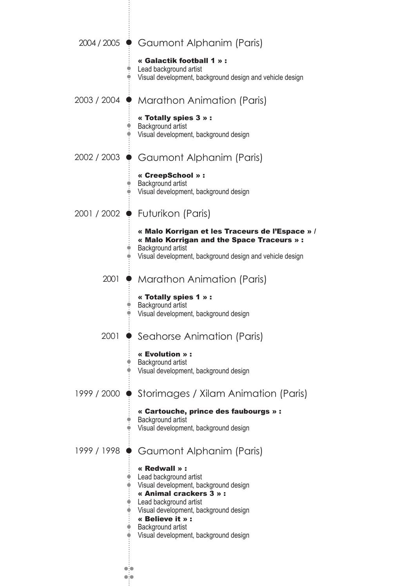|             | 2004/2005 • Gaumont Alphanim (Paris)                                                                                                                                                                                                                             |
|-------------|------------------------------------------------------------------------------------------------------------------------------------------------------------------------------------------------------------------------------------------------------------------|
|             | « Galactik football 1 » :<br>Lead background artist<br>Visual development, background design and vehicle design                                                                                                                                                  |
|             | 2003 / 2004 ● Marathon Animation (Paris)                                                                                                                                                                                                                         |
|             | « Totally spies 3 » :<br>Background artist<br>Visual development, background design                                                                                                                                                                              |
| 2002 / 2003 | Gaumont Alphanim (Paris)                                                                                                                                                                                                                                         |
|             | « CreepSchool » :<br>Background artist<br>Visual development, background design                                                                                                                                                                                  |
| 2001 / 2002 | $\bullet$ Futurikon (Paris)                                                                                                                                                                                                                                      |
|             | « Malo Korrigan et les Traceurs de l'Espace » /<br>« Malo Korrigan and the Space Traceurs » :<br>Background artist<br>Visual development, background design and vehicle design                                                                                   |
| 2001        | $\bullet$ Marathon Animation (Paris)                                                                                                                                                                                                                             |
|             | « Totally spies 1 » :<br>Background artist<br>Visual development, background design                                                                                                                                                                              |
| 2001        | $\bullet$ Seahorse Animation (Paris)                                                                                                                                                                                                                             |
|             | « Evolution » :<br>Background artist<br>Visual development, background design                                                                                                                                                                                    |
| 1999 / 2000 | Storimages / Xilam Animation (Paris)                                                                                                                                                                                                                             |
|             | « Cartouche, prince des faubourgs » :<br>Background artist<br>Visual development, background design                                                                                                                                                              |
| 1999 / 1998 | Gaumont Alphanim (Paris)                                                                                                                                                                                                                                         |
|             | « Redwall » :<br>Lead background artist<br>Visual development, background design<br>« Animal crackers 3 » :<br>Lead background artist<br>Visual development, background design<br>« Believe it » :<br>Background artist<br>Visual development, background design |
|             |                                                                                                                                                                                                                                                                  |